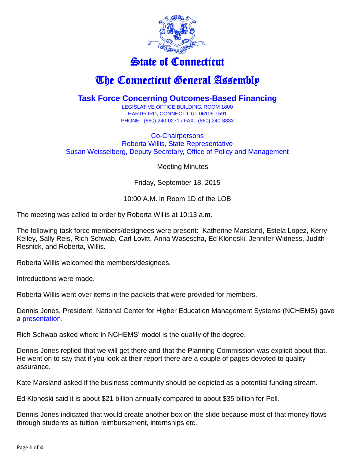

## State of Connecticut

## The Connecticut General Assembly

## **Task Force Concerning Outcomes-Based Financing**

LEGISLATIVE OFFICE BUILDING, ROOM 1800 HARTFORD, CONNECTICUT 06106-1591 PHONE: (860) 240-0271 / FAX: (860) 240-8833

Co-Chairpersons Roberta Willis, State Representative Susan Weisselberg, Deputy Secretary, Office of Policy and Management

Meeting Minutes

Friday, September 18, 2015

10:00 A.M. in Room 1D of the LOB

The meeting was called to order by Roberta Willis at 10:13 a.m.

The following task force members/designees were present: Katherine Marsland, Estela Lopez, Kerry Kelley, Sally Reis, Rich Schwab, Carl Lovitt, Anna Wasescha, Ed Klonoski, Jennifer Widness, Judith Resnick, and Roberta, Willis.

Roberta Willis welcomed the members/designees.

Introductions were made.

Roberta Willis went over items in the packets that were provided for members.

Dennis Jones, President, National Center for Higher Education Management Systems (NCHEMS) gave a [presentation.](https://www.cga.ct.gov/hed/tfs/20150716_Task%20Force%20Concerning%20Outcomes-Based%20Financing/20150918/CT%20OBF%20Task%20Force%20Background%20Information.pdf)

Rich Schwab asked where in NCHEMS' model is the quality of the degree.

Dennis Jones replied that we will get there and that the Planning Commission was explicit about that. He went on to say that if you look at their report there are a couple of pages devoted to quality assurance.

Kate Marsland asked if the business community should be depicted as a potential funding stream.

Ed Klonoski said it is about \$21 billion annually compared to about \$35 billion for Pell.

Dennis Jones indicated that would create another box on the slide because most of that money flows through students as tuition reimbursement, internships etc.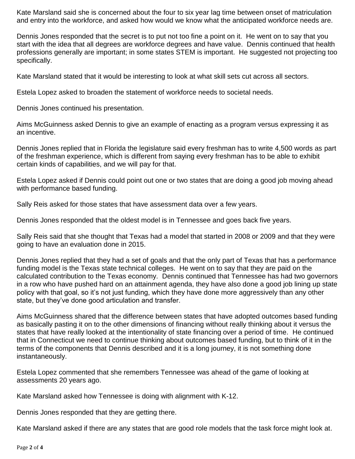Kate Marsland said she is concerned about the four to six year lag time between onset of matriculation and entry into the workforce, and asked how would we know what the anticipated workforce needs are.

Dennis Jones responded that the secret is to put not too fine a point on it. He went on to say that you start with the idea that all degrees are workforce degrees and have value. Dennis continued that health professions generally are important; in some states STEM is important. He suggested not projecting too specifically.

Kate Marsland stated that it would be interesting to look at what skill sets cut across all sectors.

Estela Lopez asked to broaden the statement of workforce needs to societal needs.

Dennis Jones continued his presentation.

Aims McGuinness asked Dennis to give an example of enacting as a program versus expressing it as an incentive.

Dennis Jones replied that in Florida the legislature said every freshman has to write 4,500 words as part of the freshman experience, which is different from saying every freshman has to be able to exhibit certain kinds of capabilities, and we will pay for that.

Estela Lopez asked if Dennis could point out one or two states that are doing a good job moving ahead with performance based funding.

Sally Reis asked for those states that have assessment data over a few years.

Dennis Jones responded that the oldest model is in Tennessee and goes back five years.

Sally Reis said that she thought that Texas had a model that started in 2008 or 2009 and that they were going to have an evaluation done in 2015.

Dennis Jones replied that they had a set of goals and that the only part of Texas that has a performance funding model is the Texas state technical colleges. He went on to say that they are paid on the calculated contribution to the Texas economy. Dennis continued that Tennessee has had two governors in a row who have pushed hard on an attainment agenda, they have also done a good job lining up state policy with that goal, so it's not just funding, which they have done more aggressively than any other state, but they've done good articulation and transfer.

Aims McGuinness shared that the difference between states that have adopted outcomes based funding as basically pasting it on to the other dimensions of financing without really thinking about it versus the states that have really looked at the intentionality of state financing over a period of time. He continued that in Connecticut we need to continue thinking about outcomes based funding, but to think of it in the terms of the components that Dennis described and it is a long journey, it is not something done instantaneously.

Estela Lopez commented that she remembers Tennessee was ahead of the game of looking at assessments 20 years ago.

Kate Marsland asked how Tennessee is doing with alignment with K-12.

Dennis Jones responded that they are getting there.

Kate Marsland asked if there are any states that are good role models that the task force might look at.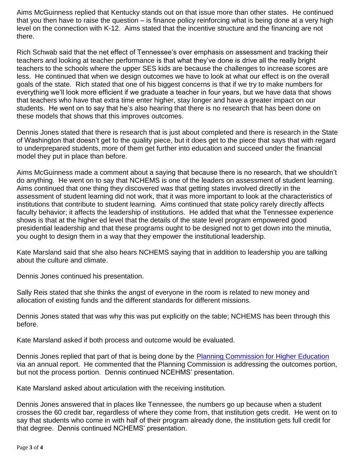Aims McGuinness replied that Kentucky stands out on that issue more than other states. He continued that you then have to raise the question – is finance policy reinforcing what is being done at a very high level on the connection with K-12. Aims stated that the incentive structure and the financing are not there.

Rich Schwab said that the net effect of Tennessee's over emphasis on assessment and tracking their teachers and looking at teacher performance is that what they've done is drive all the really bright teachers to the schools where the upper SES kids are because the challenges to increase scores are less. He continued that when we design outcomes we have to look at what our effect is on the overall goals of the state. Rich stated that one of his biggest concerns is that if we try to make numbers for everything we'll look more efficient if we graduate a teacher in four years, but we have data that shows that teachers who have that extra time enter higher, stay longer and have a greater impact on our students. He went on to say that he's also hearing that there is no research that has been done on these models that shows that this improves outcomes.

Dennis Jones stated that there is research that is just about completed and there is research in the State of Washington that doesn't get to the quality piece, but it does get to the piece that says that with regard to underprepared students, more of them get further into education and succeed under the financial model they put in place than before.

Aims McGuinness made a comment about a saying that because there is no research, that we shouldn't do anything. He went on to say that NCHEMS is one of the leaders on assessment of student learning. Aims continued that one thing they discovered was that getting states involved directly in the assessment of student learning did not work, that it was more important to look at the characteristics of institutions that contribute to student learning. Aims continued that state policy rarely directly affects faculty behavior; it affects the leadership of institutions. He added that what the Tennessee experience shows is that at the higher ed level that the details of the state level program empowered good presidential leadership and that these programs ought to be designed not to get down into the minutia, you ought to design them in a way that they empower the institutional leadership.

Kate Marsland said that she also hears NCHEMS saying that in addition to leadership you are talking about the culture and climate.

Dennis Jones continued his presentation.

Sally Reis stated that she thinks the angst of everyone in the room is related to new money and allocation of existing funds and the different standards for different missions.

Dennis Jones stated that was why this was put explicitly on the table; NCHEMS has been through this before.

Kate Marsland asked if both process and outcome would be evaluated.

Dennis Jones replied that part of that is being done by the [Planning Commission for Higher Education](https://www.cga.ct.gov/hed/taskforce.asp?TF=20130312_Planning%20Commission%20For%20Higher%20Education) via an annual report. He commented that the Planning Commission is addressing the outcomes portion, but not the process portion. Dennis continued NCEHMS' presentation.

Kate Marsland asked about articulation with the receiving institution.

Dennis Jones answered that in places like Tennessee, the numbers go up because when a student crosses the 60 credit bar, regardless of where they come from, that institution gets credit. He went on to say that students who come in with half of their program already done, the institution gets full credit for that degree. Dennis continued NCHEMS' presentation.